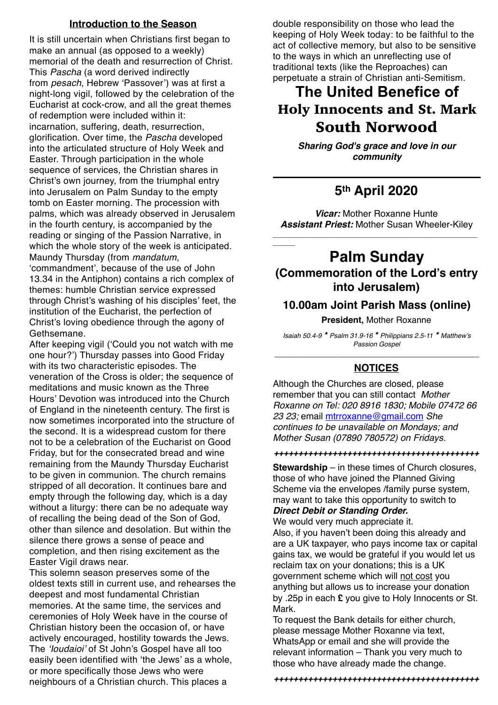#### **Introduction to the Season**

It is still uncertain when Christians first began to make an annual (as opposed to a weekly) memorial of the death and resurrection of Christ. This *Pascha* (a word derived indirectly from *pesach*, Hebrew 'Passover') was at first a night-long vigil, followed by the celebration of the Eucharist at cock-crow, and all the great themes of redemption were included within it: incarnation, suffering, death, resurrection, glorification. Over time, the *Pascha* developed into the articulated structure of Holy Week and Easter. Through participation in the whole sequence of services, the Christian shares in Christ's own journey, from the triumphal entry into Jerusalem on Palm Sunday to the empty tomb on Easter morning. The procession with palms, which was already observed in Jerusalem in the fourth century, is accompanied by the reading or singing of the Passion Narrative, in which the whole story of the week is anticipated. Maundy Thursday (from *mandatum*, 'commandment', because of the use of John

13.34 in the Antiphon) contains a rich complex of themes: humble Christian service expressed through Christ's washing of his disciples' feet, the institution of the Eucharist, the perfection of Christ's loving obedience through the agony of Gethsemane.

After keeping vigil ('Could you not watch with me one hour?') Thursday passes into Good Friday with its two characteristic episodes. The veneration of the Cross is older; the sequence of meditations and music known as the Three Hours' Devotion was introduced into the Church of England in the nineteenth century. The first is now sometimes incorporated into the structure of the second. It is a widespread custom for there not to be a celebration of the Eucharist on Good Friday, but for the consecrated bread and wine remaining from the Maundy Thursday Eucharist to be given in communion. The church remains stripped of all decoration. It continues bare and empty through the following day, which is a day without a liturgy: there can be no adequate way of recalling the being dead of the Son of God, other than silence and desolation. But within the silence there grows a sense of peace and completion, and then rising excitement as the Easter Vigil draws near.

This solemn season preserves some of the oldest texts still in current use, and rehearses the deepest and most fundamental Christian memories. At the same time, the services and ceremonies of Holy Week have in the course of Christian history been the occasion of, or have actively encouraged, hostility towards the Jews. The *'Ioudaioi'* of St John's Gospel have all too easily been identified with 'the Jews' as a whole, or more specifically those Jews who were neighbours of a Christian church. This places a

double responsibility on those who lead the keeping of Holy Week today: to be faithful to the act of collective memory, but also to be sensitive to the ways in which an unreflecting use of traditional texts (like the Reproaches) can perpetuate a strain of Christian anti-Semitism.

# **The United Benefice of**  Holy Innocents and St. Mark South Norwood

*Sharing God's grace and love in our community*

## **5th April 2020**

*Vicar:* Mother Roxanne Hunte *Assistant Priest:* Mother Susan Wheeler-Kiley

*\_\_\_\_\_\_\_\_\_\_\_\_\_\_\_\_\_\_\_\_\_\_\_\_\_\_\_\_\_\_\_\_\_\_\_\_\_\_\_\_\_\_\_\_\_\_\_\_\_\_\_\_\_\_\_*

*\_\_\_\_\_\_*

### **Palm Sunday (Commemoration of the Lord's entry into Jerusalem)**

### **10.00am Joint Parish Mass (online)**

**President,** Mother Roxanne

*Isaiah 50.4-9 \* Psalm 31.9-16 \* Philippians 2.5-11 \* Matthew's Passion Gospel*

### \_\_\_\_\_\_\_\_\_\_\_\_\_\_\_\_\_\_\_\_\_\_\_\_\_\_\_\_\_\_\_\_\_\_\_\_\_\_\_\_\_\_\_\_ **NOTICES**

Although the Churches are closed, please remember that you can still contact *Mother Roxanne on Tel: 020 8916 1830; Mobile 07472 66 23 23;* email [mtrroxanne@gmail.com](mailto:mtrroxanne@gmail.com) *She continues to be unavailable on Mondays; and Mother Susan (07890 780572) on Fridays.*

*++++++++++++++++++++++++++++++++++++++++++*

**Stewardship** – in these times of Church closures, those of who have joined the Planned Giving Scheme via the envelopes /family purse system, may want to take this opportunity to switch to

#### *Direct Debit or Standing Order.* We would very much appreciate it.

Also, if you haven't been doing this already and are a UK taxpayer, who pays income tax or capital gains tax, we would be grateful if you would let us reclaim tax on your donations; this is a UK government scheme which will not cost you anything but allows us to increase your donation by .25p in each **£** you give to Holy Innocents or St. Mark.

To request the Bank details for either church, please message Mother Roxanne via text, WhatsApp or email and she will provide the relevant information – Thank you very much to those who have already made the change.